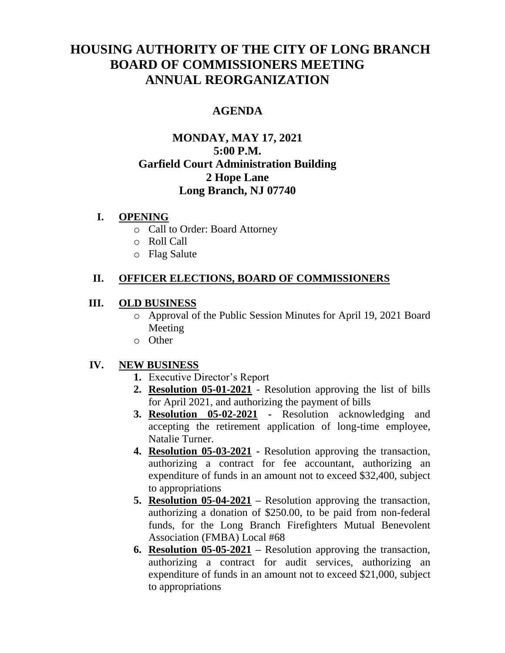# **HOUSING AUTHORITY OF THE CITY OF LONG BRANCH BOARD OF COMMISSIONERS MEETING ANNUAL REORGANIZATION**

## **AGENDA**

# **MONDAY, MAY 17, 2021 5:00 P.M. Garfield Court Administration Building 2 Hope Lane Long Branch, NJ 07740**

#### **I. OPENING**

- o Call to Order: Board Attorney
- o Roll Call
- o Flag Salute

## **II. OFFICER ELECTIONS, BOARD OF COMMISSIONERS**

#### **III. OLD BUSINESS**

- o Approval of the Public Session Minutes for April 19, 2021 Board Meeting
- o Other

#### **IV. NEW BUSINESS**

- **1.** Executive Director's Report
- **2. Resolution 05-01-2021** Resolution approving the list of bills for April 2021, and authorizing the payment of bills
- **3. Resolution 05-02-2021 -** Resolution acknowledging and accepting the retirement application of long-time employee, Natalie Turner.
- **4. Resolution 05-03-2021 -** Resolution approving the transaction, authorizing a contract for fee accountant, authorizing an expenditure of funds in an amount not to exceed \$32,400, subject to appropriations
- **5. Resolution 05-04-2021 –** Resolution approving the transaction, authorizing a donation of \$250.00, to be paid from non-federal funds, for the Long Branch Firefighters Mutual Benevolent Association (FMBA) Local #68
- **6. Resolution 05-05-2021 –** Resolution approving the transaction, authorizing a contract for audit services, authorizing an expenditure of funds in an amount not to exceed \$21,000, subject to appropriations